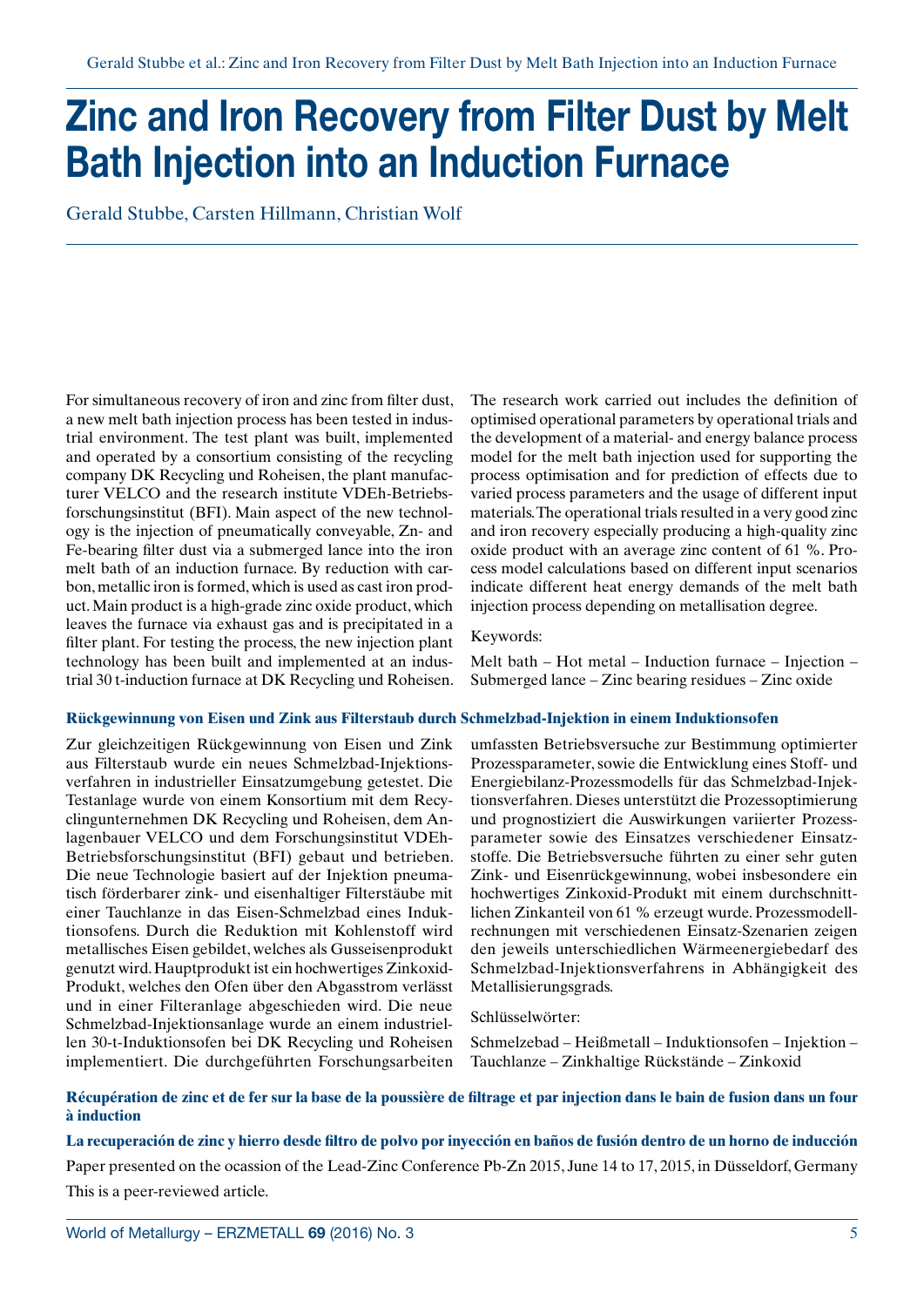# **Zinc and Iron Recovery from Filter Dust by Melt Bath Injection into an Induction Furnace**

Gerald Stubbe, Carsten Hillmann, Christian Wolf

For simultaneous recovery of iron and zinc from filter dust, a new melt bath injection process has been tested in industrial environment. The test plant was built, implemented and operated by a consortium consisting of the recycling company DK Recycling und Roheisen, the plant manufacturer VELCO and the research institute VDEh-Betriebsforschungsinstitut (BFI). Main aspect of the new technology is the injection of pneumatically conveyable, Zn- and Fe-bearing filter dust via a submerged lance into the iron melt bath of an induction furnace. By reduction with carbon, metallic iron is formed, which is used as cast iron product. Main product is a high-grade zinc oxide product, which leaves the furnace via exhaust gas and is precipitated in a filter plant. For testing the process, the new injection plant technology has been built and implemented at an industrial 30 t-induction furnace at DK Recycling und Roheisen.

The research work carried out includes the definition of optimised operational parameters by operational trials and the development of a material- and energy balance process model for the melt bath injection used for supporting the process optimisation and for prediction of effects due to varied process parameters and the usage of different input materials. The operational trials resulted in a very good zinc and iron recovery especially producing a high-quality zinc oxide product with an average zinc content of 61 %. Process model calculations based on different input scenarios indicate different heat energy demands of the melt bath injection process depending on metallisation degree.

### Keywords:

Melt bath – Hot metal – Induction furnace – Injection – Submerged lance – Zinc bearing residues – Zinc oxide

#### **Rückgewinnung von Eisen und Zink aus Filterstaub durch Schmelzbad-Injektion in einem Induktionsofen**

Zur gleichzeitigen Rückgewinnung von Eisen und Zink aus Filterstaub wurde ein neues Schmelzbad-Injektionsverfahren in industrieller Einsatzumgebung getestet. Die Testanlage wurde von einem Konsortium mit dem Recyclingunternehmen DK Recycling und Roheisen, dem Anlagenbauer VELCO und dem Forschungsinstitut VDEh-Betriebsforschungsinstitut (BFI) gebaut und betrieben. Die neue Technologie basiert auf der Injektion pneumatisch förderbarer zink- und eisenhaltiger Filterstäube mit einer Tauchlanze in das Eisen-Schmelzbad eines Induktionsofens. Durch die Reduktion mit Kohlenstoff wird metallisches Eisen gebildet, welches als Gusseisenprodukt genutzt wird. Hauptprodukt ist ein hochwertiges Zinkoxid-Produkt, welches den Ofen über den Abgasstrom verlässt und in einer Filteranlage abgeschieden wird. Die neue Schmelzbad-Injektionsanlage wurde an einem industriellen 30-t-Induktionsofen bei DK Recycling und Roheisen implementiert. Die durchgeführten Forschungsarbeiten

umfassten Betriebsversuche zur Bestimmung optimierter Prozessparameter, sowie die Entwicklung eines Stoff- und Energiebilanz-Prozessmodells für das Schmelzbad-Injektionsverfahren. Dieses unterstützt die Prozessoptimierung und prognostiziert die Auswirkungen variierter Prozessparameter sowie des Einsatzes verschiedener Einsatzstoffe. Die Betriebsversuche führten zu einer sehr guten Zink- und Eisenrückgewinnung, wobei insbesondere ein hochwertiges Zinkoxid-Produkt mit einem durchschnittlichen Zinkanteil von 61 % erzeugt wurde. Prozessmodellrechnungen mit verschiedenen Einsatz-Szenarien zeigen den jeweils unterschiedlichen Wärmeenergiebedarf des Schmelzbad-Injektionsverfahrens in Abhängigkeit des Metallisierungsgrads.

#### Schlüsselwörter:

Schmelzebad – Heißmetall – Induktionsofen – Injektion – Tauchlanze – Zinkhaltige Rückstände – Zinkoxid

### **Récupération de zinc et de fer sur la base de la poussière de filtrage et par injection dans le bain de fusion dans un four à induction**

**La recuperación de zinc y hierro desde filtro de polvo por inyección en baños de fusión dentro de un horno de inducción**

Paper presented on the ocassion of the Lead-Zinc Conference Pb-Zn 2015, June 14 to 17, 2015, in Düsseldorf, Germany This is a peer-reviewed article.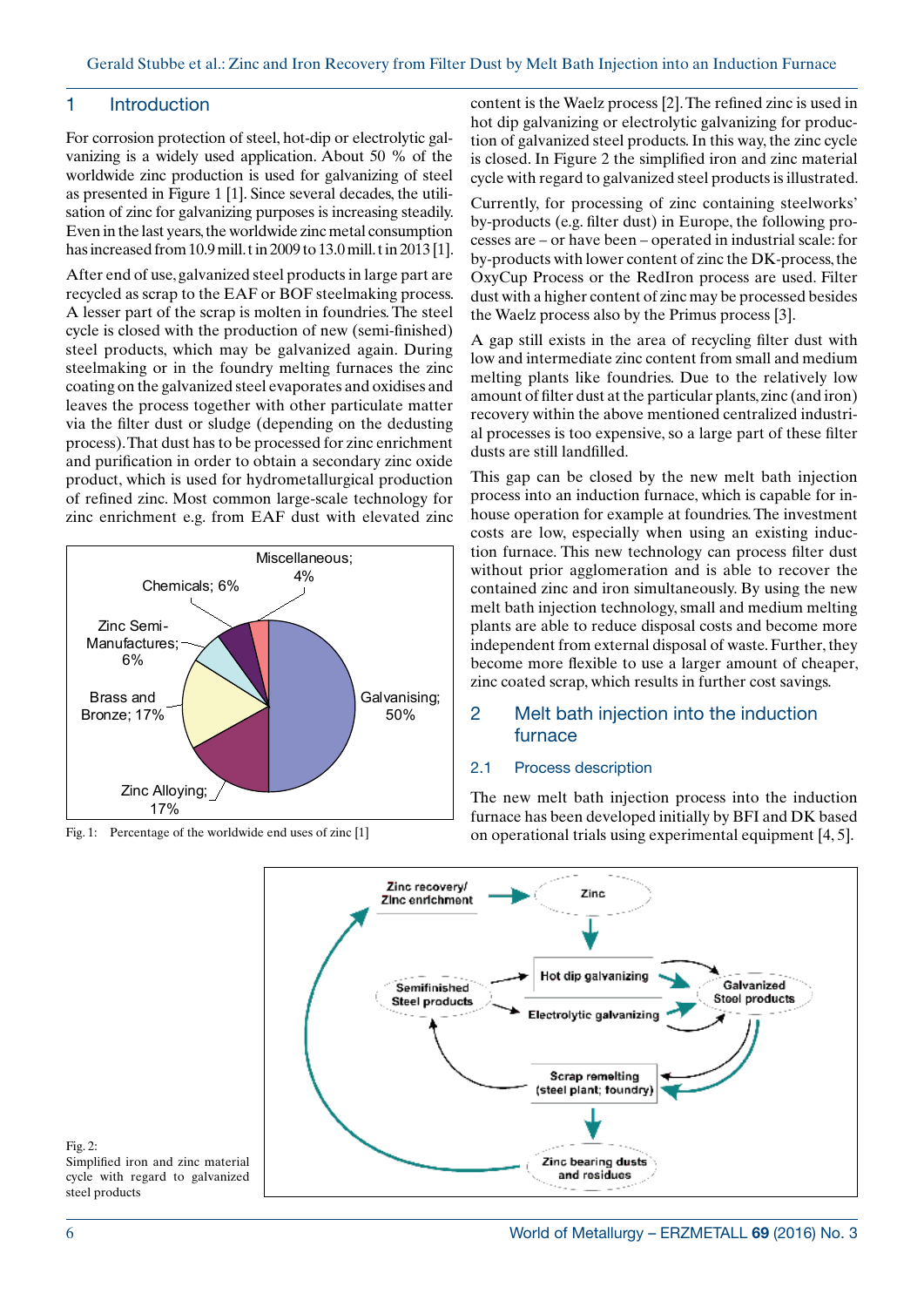## 1 Introduction

For corrosion protection of steel, hot-dip or electrolytic galvanizing is a widely used application. About 50 % of the worldwide zinc production is used for galvanizing of steel as presented in Figure 1 [1]. Since several decades, the utilisation of zinc for galvanizing purposes is increasing steadily. Even in the last years, the worldwide zinc metal consumption has increased from 10.9 mill. t in 2009 to 13.0 mill. t in 2013 [1].

After end of use, galvanized steel products in large part are recycled as scrap to the EAF or BOF steelmaking process. A lesser part of the scrap is molten in foundries. The steel cycle is closed with the production of new (semi-finished) steel products, which may be galvanized again. During steelmaking or in the foundry melting furnaces the zinc coating on the galvanized steel evaporates and oxidises and leaves the process together with other particulate matter via the filter dust or sludge (depending on the dedusting process). That dust has to be processed for zinc enrichment and purification in order to obtain a secondary zinc oxide product, which is used for hydrometallurgical production of refined zinc. Most common large-scale technology for zinc enrichment e.g. from EAF dust with elevated zinc



Fig. 1: Percentage of the worldwide end uses of zinc [1]

content is the Waelz process [2]. The refined zinc is used in hot dip galvanizing or electrolytic galvanizing for production of galvanized steel products. In this way, the zinc cycle is closed. In Figure 2 the simplified iron and zinc material cycle with regard to galvanized steel products is illustrated.

Currently, for processing of zinc containing steelworks' by-products (e.g. filter dust) in Europe, the following processes are – or have been – operated in industrial scale: for by-products with lower content of zinc the DK-process, the OxyCup Process or the RedIron process are used. Filter dust with a higher content of zinc may be processed besides the Waelz process also by the Primus process [3].

A gap still exists in the area of recycling filter dust with low and intermediate zinc content from small and medium melting plants like foundries. Due to the relatively low amount of filter dust at the particular plants, zinc (and iron) recovery within the above mentioned centralized industrial processes is too expensive, so a large part of these filter dusts are still landfilled.

This gap can be closed by the new melt bath injection process into an induction furnace, which is capable for inhouse operation for example at foundries. The investment costs are low, especially when using an existing induction furnace. This new technology can process filter dust without prior agglomeration and is able to recover the contained zinc and iron simultaneously. By using the new melt bath injection technology, small and medium melting plants are able to reduce disposal costs and become more independent from external disposal of waste. Further, they become more flexible to use a larger amount of cheaper, zinc coated scrap, which results in further cost savings.

## 2 Melt bath injection into the induction furnace

#### 2.1 Process description

The new melt bath injection process into the induction furnace has been developed initially by BFI and DK based on operational trials using experimental equipment [4, 5].





Simplified iron and zinc material cycle with regard to galvanized steel products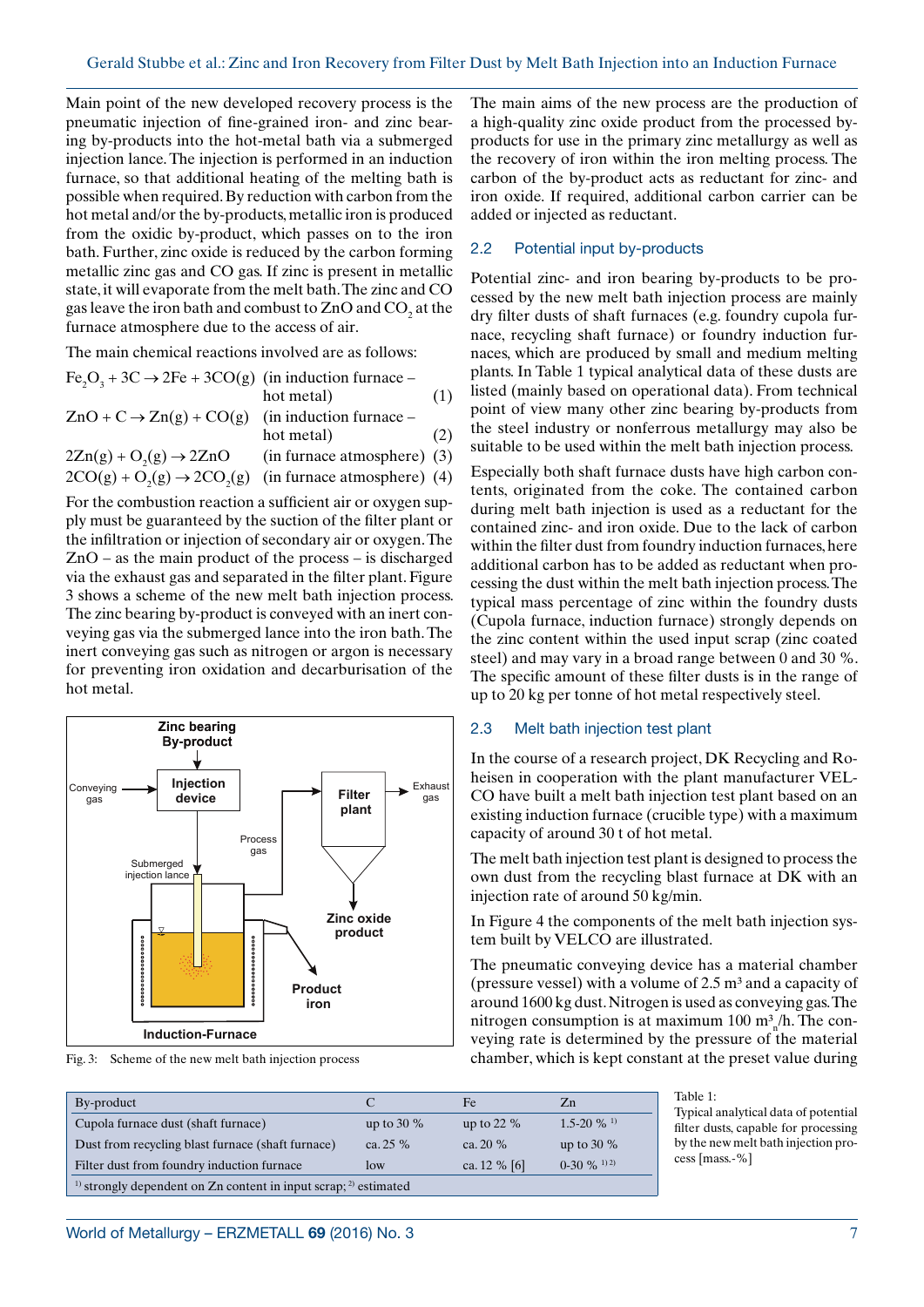Main point of the new developed recovery process is the pneumatic injection of fine-grained iron- and zinc bearing by-products into the hot-metal bath via a submerged injection lance. The injection is performed in an induction furnace, so that additional heating of the melting bath is possible when required. By reduction with carbon from the hot metal and/or the by-products, metallic iron is produced from the oxidic by-product, which passes on to the iron bath. Further, zinc oxide is reduced by the carbon forming metallic zinc gas and CO gas. If zinc is present in metallic state, it will evaporate from the melt bath. The zinc and CO gas leave the iron bath and combust to  $ZnO$  and  $CO<sub>2</sub>$  at the furnace atmosphere due to the access of air.

The main chemical reactions involved are as follows:

 $Fe<sub>2</sub>O<sub>3</sub> + 3C \rightarrow 2Fe + 3CO(g)$  (in induction furnace – hot metal) (1)  $ZnO + C \rightarrow Zn(g) + CO(g)$  (in induction furnace – hot metal) (2)  $2Zn(g) + O<sub>2</sub>(g) \rightarrow 2ZnO$  $(in furnace atmosphere)$  (3)  $2CO(g) + O_2(g) \rightarrow 2CO_2(g)$  (in furnace atmosphere) (4)

For the combustion reaction a sufficient air or oxygen supply must be guaranteed by the suction of the filter plant or the infiltration or injection of secondary air or oxygen. The ZnO – as the main product of the process – is discharged via the exhaust gas and separated in the filter plant. Figure 3 shows a scheme of the new melt bath injection process. The zinc bearing by-product is conveyed with an inert conveying gas via the submerged lance into the iron bath. The inert conveying gas such as nitrogen or argon is necessary for preventing iron oxidation and decarburisation of the hot metal.



The main aims of the new process are the production of a high-quality zinc oxide product from the processed byproducts for use in the primary zinc metallurgy as well as the recovery of iron within the iron melting process. The carbon of the by-product acts as reductant for zinc- and iron oxide. If required, additional carbon carrier can be added or injected as reductant.

### 2.2 Potential input by-products

Potential zinc- and iron bearing by-products to be processed by the new melt bath injection process are mainly dry filter dusts of shaft furnaces (e.g. foundry cupola furnace, recycling shaft furnace) or foundry induction furnaces, which are produced by small and medium melting plants. In Table 1 typical analytical data of these dusts are listed (mainly based on operational data). From technical point of view many other zinc bearing by-products from the steel industry or nonferrous metallurgy may also be suitable to be used within the melt bath injection process.

Especially both shaft furnace dusts have high carbon contents, originated from the coke. The contained carbon during melt bath injection is used as a reductant for the contained zinc- and iron oxide. Due to the lack of carbon within the filter dust from foundry induction furnaces, here additional carbon has to be added as reductant when processing the dust within the melt bath injection process. The typical mass percentage of zinc within the foundry dusts (Cupola furnace, induction furnace) strongly depends on the zinc content within the used input scrap (zinc coated steel) and may vary in a broad range between 0 and 30 %. The specific amount of these filter dusts is in the range of up to 20 kg per tonne of hot metal respectively steel.

#### 2.3 Melt bath injection test plant

In the course of a research project, DK Recycling and Roheisen in cooperation with the plant manufacturer VEL-CO have built a melt bath injection test plant based on an existing induction furnace (crucible type) with a maximum capacity of around 30 t of hot metal.

The melt bath injection test plant is designed to process the own dust from the recycling blast furnace at DK with an injection rate of around 50 kg/min.

In Figure 4 the components of the melt bath injection system built by VELCO are illustrated.

The pneumatic conveying device has a material chamber (pressure vessel) with a volume of  $2.5 \text{ m}^3$  and a capacity of around 1600 kg dust. Nitrogen is used as conveying gas. The nitrogen consumption is at maximum  $100 \text{ m}^3$ <sub>n</sub>/h. The conveying rate is determined by the pressure of the material Fig. 3: Scheme of the new melt bath injection process chamber, which is kept constant at the preset value during

| By-product                                                                      |              | Fe             | $Z_{n}$                             |  |  |
|---------------------------------------------------------------------------------|--------------|----------------|-------------------------------------|--|--|
| Cupola furnace dust (shaft furnace)                                             | up to $30\%$ | up to 22 $%$   | $1.5 - 20 \%$ <sup>1)</sup>         |  |  |
| Dust from recycling blast furnace (shaft furnace)                               | ca. $25\%$   | ca. $20\%$     | up to 30 $%$                        |  |  |
| Filter dust from foundry induction furnace                                      | low          | ca. $12\%$ [6] | $0-30\%$ <sup>1)</sup> <sup>2</sup> |  |  |
| <sup>1)</sup> strongly dependent on Zn content in input scrap; $^{2}$ estimated |              |                |                                     |  |  |

Table 1:

Typical analytical data of potential filter dusts, capable for processing by the new melt bath injection process [mass.-%]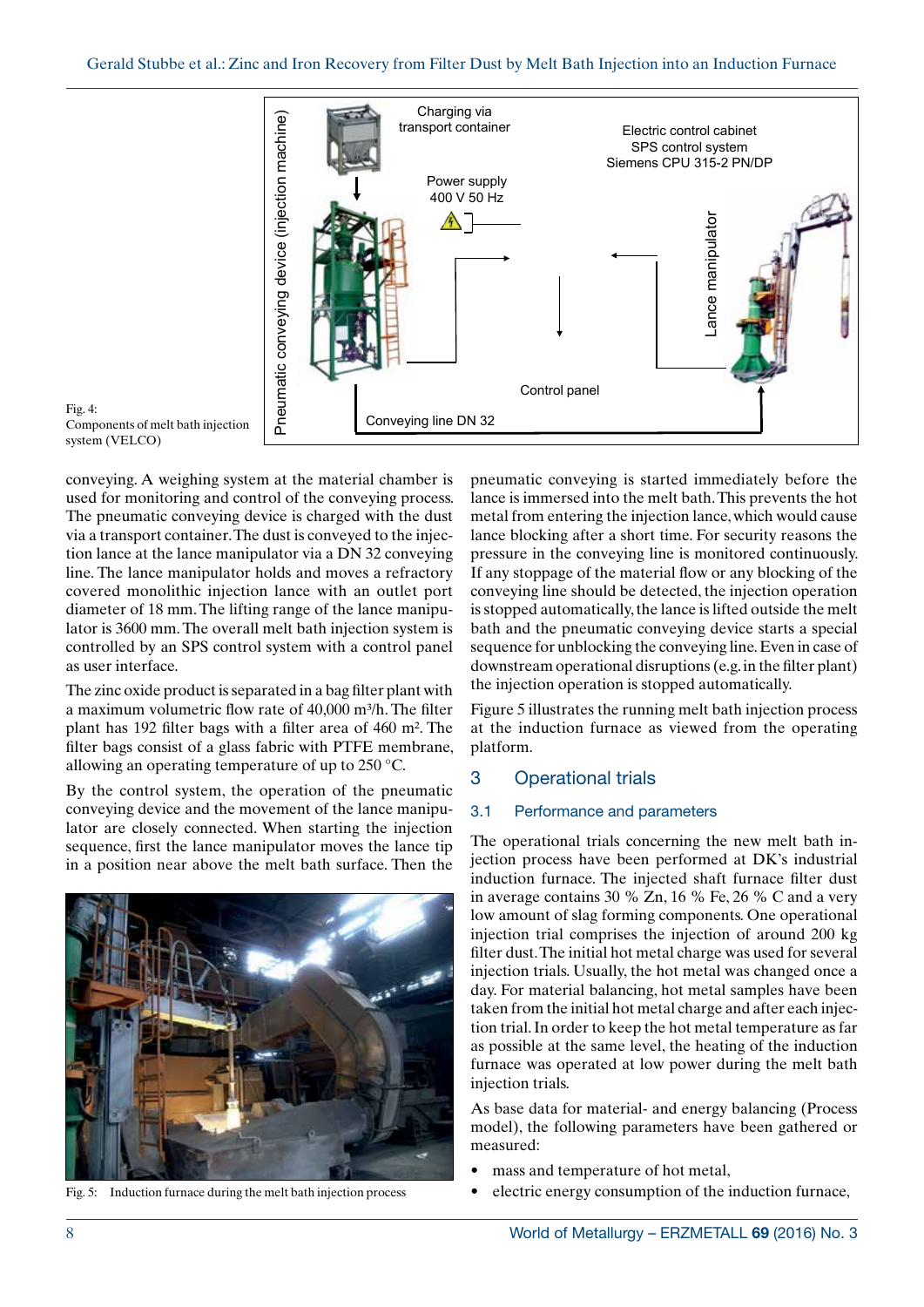

Fig. 4: Components of melt bath injection system (VELCO)

conveying. A weighing system at the material chamber is used for monitoring and control of the conveying process. The pneumatic conveying device is charged with the dust via a transport container. The dust is conveyed to the injection lance at the lance manipulator via a DN 32 conveying line. The lance manipulator holds and moves a refractory covered monolithic injection lance with an outlet port diameter of 18 mm. The lifting range of the lance manipulator is 3600 mm. The overall melt bath injection system is controlled by an SPS control system with a control panel as user interface.

The zinc oxide product is separated in a bag filter plant with a maximum volumetric flow rate of  $40,000$  m<sup>3</sup>/h. The filter plant has 192 filter bags with a filter area of 460 m². The filter bags consist of a glass fabric with PTFE membrane, allowing an operating temperature of up to 250 °C.

By the control system, the operation of the pneumatic conveying device and the movement of the lance manipulator are closely connected. When starting the injection sequence, first the lance manipulator moves the lance tip in a position near above the melt bath surface. Then the



Fig. 5: Induction furnace during the melt bath injection process

pneumatic conveying is started immediately before the lance is immersed into the melt bath. This prevents the hot metal from entering the injection lance, which would cause lance blocking after a short time. For security reasons the pressure in the conveying line is monitored continuously. If any stoppage of the material flow or any blocking of the conveying line should be detected, the injection operation is stopped automatically, the lance is lifted outside the melt bath and the pneumatic conveying device starts a special sequence for unblocking the conveying line. Even in case of downstream operational disruptions (e.g. in the filter plant) the injection operation is stopped automatically.

Figure 5 illustrates the running melt bath injection process at the induction furnace as viewed from the operating platform.

## 3 Operational trials

#### 3.1 Performance and parameters

The operational trials concerning the new melt bath injection process have been performed at DK's industrial induction furnace. The injected shaft furnace filter dust in average contains 30 % Zn, 16 % Fe, 26 % C and a very low amount of slag forming components. One operational injection trial comprises the injection of around 200 kg filter dust. The initial hot metal charge was used for several injection trials. Usually, the hot metal was changed once a day. For material balancing, hot metal samples have been taken from the initial hot metal charge and after each injection trial. In order to keep the hot metal temperature as far as possible at the same level, the heating of the induction furnace was operated at low power during the melt bath injection trials.

As base data for material- and energy balancing (Process model), the following parameters have been gathered or measured:

- mass and temperature of hot metal,
- electric energy consumption of the induction furnace,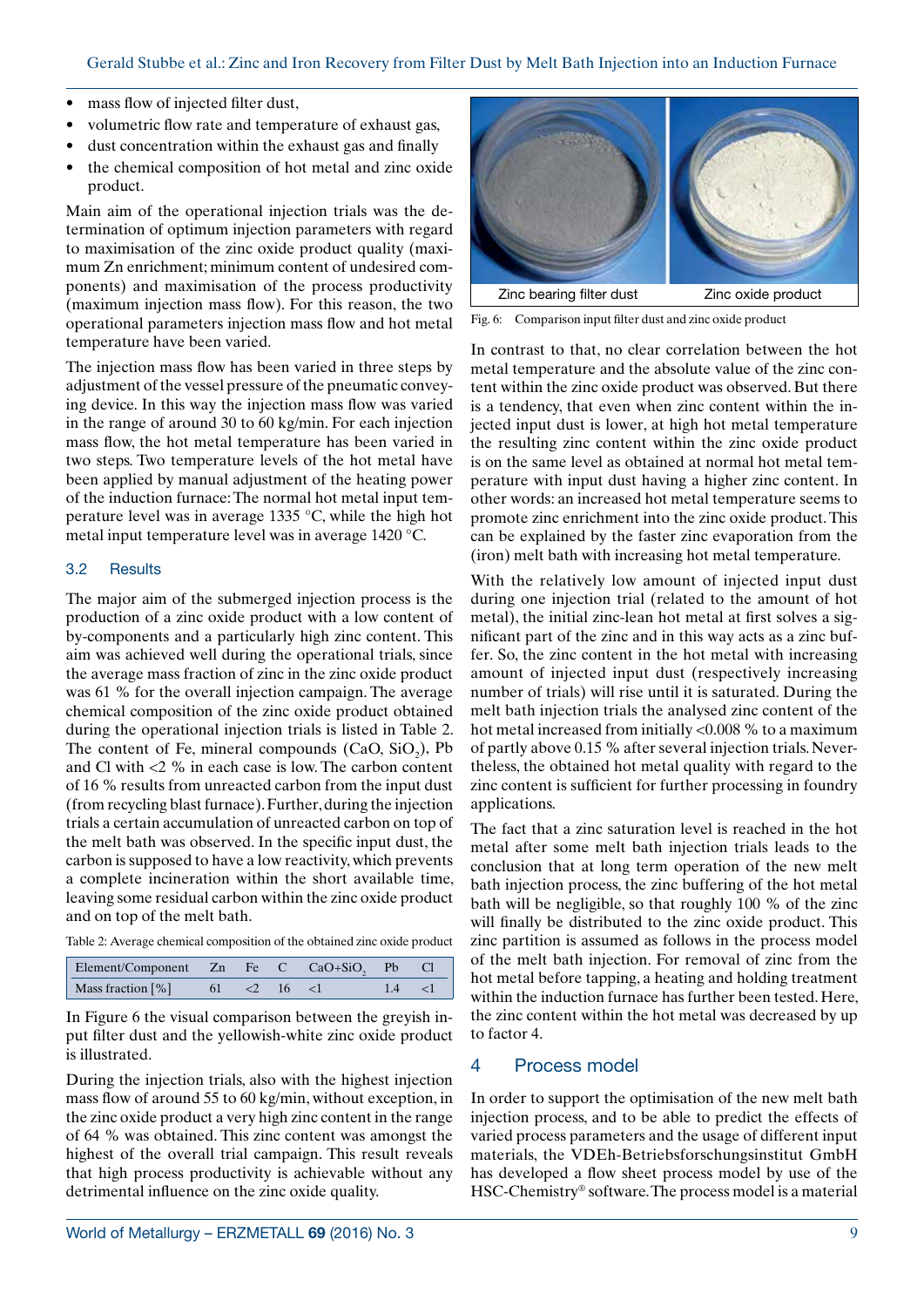- mass flow of injected filter dust,
- volumetric flow rate and temperature of exhaust gas,
- dust concentration within the exhaust gas and finally
- the chemical composition of hot metal and zinc oxide product.

Main aim of the operational injection trials was the determination of optimum injection parameters with regard to maximisation of the zinc oxide product quality (maximum Zn enrichment; minimum content of undesired components) and maximisation of the process productivity (maximum injection mass flow). For this reason, the two operational parameters injection mass flow and hot metal temperature have been varied.

The injection mass flow has been varied in three steps by adjustment of the vessel pressure of the pneumatic conveying device. In this way the injection mass flow was varied in the range of around 30 to 60 kg/min. For each injection mass flow, the hot metal temperature has been varied in two steps. Two temperature levels of the hot metal have been applied by manual adjustment of the heating power of the induction furnace: The normal hot metal input temperature level was in average 1335 °C, while the high hot metal input temperature level was in average 1420 °C.

## 3.2 Results

The major aim of the submerged injection process is the production of a zinc oxide product with a low content of by-components and a particularly high zinc content. This aim was achieved well during the operational trials, since the average mass fraction of zinc in the zinc oxide product was 61 % for the overall injection campaign. The average chemical composition of the zinc oxide product obtained during the operational injection trials is listed in Table 2. The content of Fe, mineral compounds  $(CaO, SiO<sub>2</sub>)$ , Pb and Cl with <2 % in each case is low. The carbon content of 16 % results from unreacted carbon from the input dust (from recycling blast furnace). Further, during the injection trials a certain accumulation of unreacted carbon on top of the melt bath was observed. In the specific input dust, the carbon is supposed to have a low reactivity, which prevents a complete incineration within the short available time, leaving some residual carbon within the zinc oxide product and on top of the melt bath.

Table 2: Average chemical composition of the obtained zinc oxide product

| Element/Component Zn Fe C CaO+SiO <sub>2</sub> Pb Cl |                   |  |  |  |
|------------------------------------------------------|-------------------|--|--|--|
| Mass fraction $[\%]$                                 | $61 \le 2 \le 16$ |  |  |  |

In Figure 6 the visual comparison between the greyish input filter dust and the yellowish-white zinc oxide product is illustrated.

During the injection trials, also with the highest injection mass flow of around 55 to 60 kg/min, without exception, in the zinc oxide product a very high zinc content in the range of 64 % was obtained. This zinc content was amongst the highest of the overall trial campaign. This result reveals that high process productivity is achievable without any detrimental influence on the zinc oxide quality.



Fig. 6: Comparison input filter dust and zinc oxide product

In contrast to that, no clear correlation between the hot metal temperature and the absolute value of the zinc content within the zinc oxide product was observed. But there is a tendency, that even when zinc content within the injected input dust is lower, at high hot metal temperature the resulting zinc content within the zinc oxide product is on the same level as obtained at normal hot metal temperature with input dust having a higher zinc content. In other words: an increased hot metal temperature seems to promote zinc enrichment into the zinc oxide product. This can be explained by the faster zinc evaporation from the (iron) melt bath with increasing hot metal temperature.

With the relatively low amount of injected input dust during one injection trial (related to the amount of hot metal), the initial zinc-lean hot metal at first solves a significant part of the zinc and in this way acts as a zinc buffer. So, the zinc content in the hot metal with increasing amount of injected input dust (respectively increasing number of trials) will rise until it is saturated. During the melt bath injection trials the analysed zinc content of the hot metal increased from initially <0.008 % to a maximum of partly above 0.15 % after several injection trials. Nevertheless, the obtained hot metal quality with regard to the zinc content is sufficient for further processing in foundry applications.

The fact that a zinc saturation level is reached in the hot metal after some melt bath injection trials leads to the conclusion that at long term operation of the new melt bath injection process, the zinc buffering of the hot metal bath will be negligible, so that roughly 100 % of the zinc will finally be distributed to the zinc oxide product. This zinc partition is assumed as follows in the process model of the melt bath injection. For removal of zinc from the hot metal before tapping, a heating and holding treatment within the induction furnace has further been tested. Here, the zinc content within the hot metal was decreased by up to factor 4.

## 4 Process model

In order to support the optimisation of the new melt bath injection process, and to be able to predict the effects of varied process parameters and the usage of different input materials, the VDEh-Betriebsforschungsinstitut GmbH has developed a flow sheet process model by use of the HSC-Chemistry® software. The process model is a material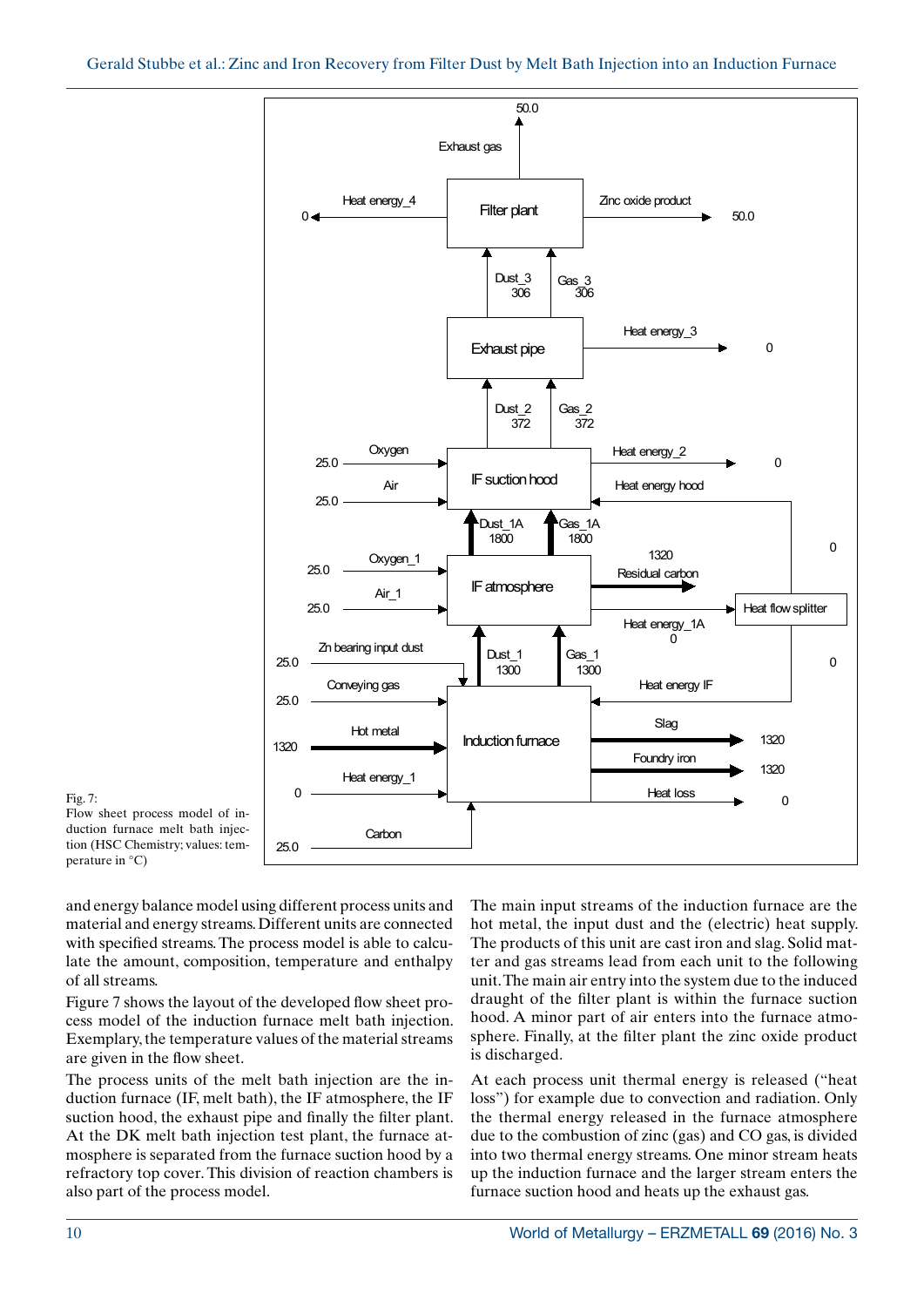

Fig. 7:

Flow sheet process model of induction furnace melt bath injection (HSC Chemistry; values: temperature in °C)

and energy balance model using different process units and material and energy streams. Different units are connected with specified streams. The process model is able to calculate the amount, composition, temperature and enthalpy of all streams.

Figure 7 shows the layout of the developed flow sheet process model of the induction furnace melt bath injection. Exemplary, the temperature values of the material streams are given in the flow sheet.

The process units of the melt bath injection are the induction furnace (IF, melt bath), the IF atmosphere, the IF suction hood, the exhaust pipe and finally the filter plant. At the DK melt bath injection test plant, the furnace atmosphere is separated from the furnace suction hood by a refractory top cover. This division of reaction chambers is also part of the process model.

The main input streams of the induction furnace are the hot metal, the input dust and the (electric) heat supply. The products of this unit are cast iron and slag. Solid matter and gas streams lead from each unit to the following unit. The main air entry into the system due to the induced draught of the filter plant is within the furnace suction hood. A minor part of air enters into the furnace atmosphere. Finally, at the filter plant the zinc oxide product is discharged.

At each process unit thermal energy is released ("heat loss") for example due to convection and radiation. Only the thermal energy released in the furnace atmosphere due to the combustion of zinc (gas) and CO gas, is divided into two thermal energy streams. One minor stream heats up the induction furnace and the larger stream enters the furnace suction hood and heats up the exhaust gas.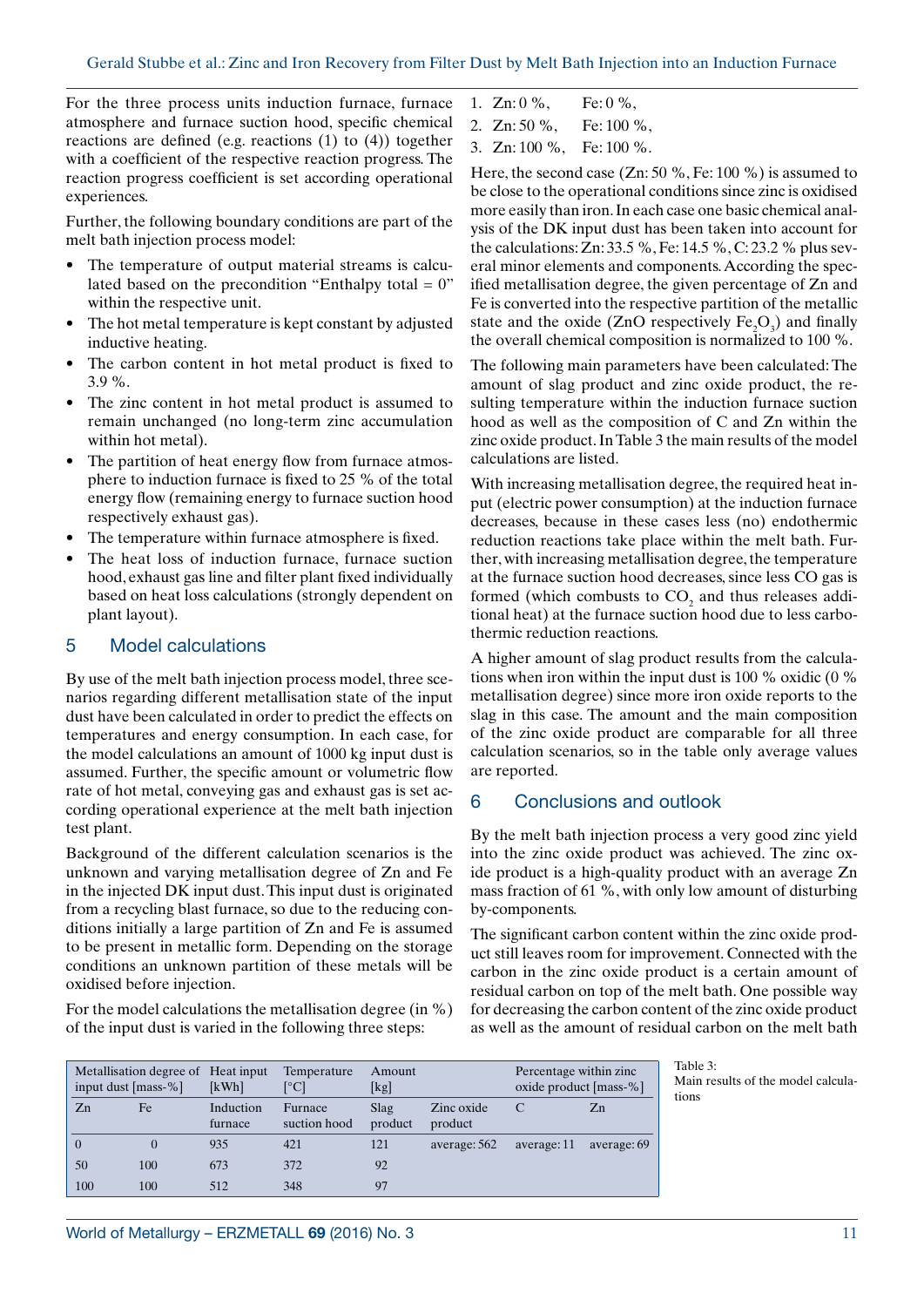For the three process units induction furnace, furnace atmosphere and furnace suction hood, specific chemical reactions are defined (e.g. reactions (1) to (4)) together with a coefficient of the respective reaction progress. The reaction progress coefficient is set according operational experiences.

Further, the following boundary conditions are part of the melt bath injection process model:

- The temperature of output material streams is calculated based on the precondition "Enthalpy total  $= 0$ " within the respective unit.
- The hot metal temperature is kept constant by adjusted inductive heating.
- The carbon content in hot metal product is fixed to 3.9 %.
- The zinc content in hot metal product is assumed to remain unchanged (no long-term zinc accumulation within hot metal).
- The partition of heat energy flow from furnace atmosphere to induction furnace is fixed to 25 % of the total energy flow (remaining energy to furnace suction hood respectively exhaust gas).
- The temperature within furnace atmosphere is fixed.
- The heat loss of induction furnace, furnace suction hood, exhaust gas line and filter plant fixed individually based on heat loss calculations (strongly dependent on plant layout).

## 5 Model calculations

By use of the melt bath injection process model, three scenarios regarding different metallisation state of the input dust have been calculated in order to predict the effects on temperatures and energy consumption. In each case, for the model calculations an amount of 1000 kg input dust is assumed. Further, the specific amount or volumetric flow rate of hot metal, conveying gas and exhaust gas is set according operational experience at the melt bath injection test plant.

Background of the different calculation scenarios is the unknown and varying metallisation degree of Zn and Fe in the injected DK input dust. This input dust is originated from a recycling blast furnace, so due to the reducing conditions initially a large partition of Zn and Fe is assumed to be present in metallic form. Depending on the storage conditions an unknown partition of these metals will be oxidised before injection.

For the model calculations the metallisation degree (in %) of the input dust is varied in the following three steps:

- 1. Zn:  $0\%$ , Fe:  $0\%$ ,
- 2. Zn: 50 %, Fe: 100 %,
- 3. Zn: 100 %, Fe: 100 %.

Here, the second case (Zn: 50 %, Fe: 100 %) is assumed to be close to the operational conditions since zinc is oxidised more easily than iron. In each case one basic chemical analysis of the DK input dust has been taken into account for the calculations: Zn: 33.5 %, Fe: 14.5 %, C: 23.2 % plus several minor elements and components. According the specified metallisation degree, the given percentage of Zn and Fe is converted into the respective partition of the metallic state and the oxide (ZnO respectively  $Fe<sub>2</sub>O<sub>3</sub>$ ) and finally the overall chemical composition is normalized to 100 %.

The following main parameters have been calculated: The amount of slag product and zinc oxide product, the resulting temperature within the induction furnace suction hood as well as the composition of C and Zn within the zinc oxide product. In Table 3 the main results of the model calculations are listed.

With increasing metallisation degree, the required heat input (electric power consumption) at the induction furnace decreases, because in these cases less (no) endothermic reduction reactions take place within the melt bath. Further, with increasing metallisation degree, the temperature at the furnace suction hood decreases, since less CO gas is formed (which combusts to  $CO<sub>2</sub>$  and thus releases additional heat) at the furnace suction hood due to less carbothermic reduction reactions.

A higher amount of slag product results from the calculations when iron within the input dust is 100 % oxidic (0 % metallisation degree) since more iron oxide reports to the slag in this case. The amount and the main composition of the zinc oxide product are comparable for all three calculation scenarios, so in the table only average values are reported.

# 6 Conclusions and outlook

By the melt bath injection process a very good zinc yield into the zinc oxide product was achieved. The zinc oxide product is a high-quality product with an average Zn mass fraction of 61 %, with only low amount of disturbing by-components.

The significant carbon content within the zinc oxide product still leaves room for improvement. Connected with the carbon in the zinc oxide product is a certain amount of residual carbon on top of the melt bath. One possible way for decreasing the carbon content of the zinc oxide product as well as the amount of residual carbon on the melt bath

| Metallisation degree of Heat input<br>input dust [mass-%] |          | [kWh]                | Temperature<br>[°C]     | Amount<br>[kg]  |                       | Percentage within zinc.<br>oxide product [mass-%] |             |
|-----------------------------------------------------------|----------|----------------------|-------------------------|-----------------|-----------------------|---------------------------------------------------|-------------|
| Zn                                                        | Fe       | Induction<br>furnace | Furnace<br>suction hood | Slag<br>product | Zinc oxide<br>product |                                                   | Zn          |
| $\Omega$                                                  | $\Omega$ | 935                  | 421                     | 121             | average: 562          | average: 11                                       | average: 69 |
| 50                                                        | 100      | 673                  | 372                     | 92              |                       |                                                   |             |
| 100                                                       | 100      | 512                  | 348                     | 97              |                       |                                                   |             |

Table 3: Main results of the model calculations